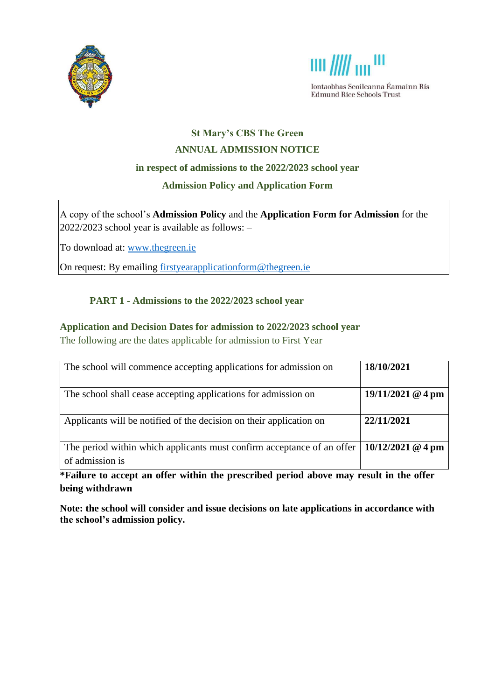



Iontaobhas Scoileanna Éamainn Rís **Edmund Rice Schools Trust** 

# **St Mary's CBS The Green ANNUAL ADMISSION NOTICE**

### **in respect of admissions to the 2022/2023 school year**

## **Admission Policy and Application Form**

A copy of the school's **Admission Policy** and the **Application Form for Admission** for the 2022/2023 school year is available as follows: –

To download at: www.thegreen.ie

On request: By emailing [firstyearapplicationform@thegreen.ie](mailto:firstyearapplicationform@thegreen.ie)

# **PART 1 - Admissions to the 2022/2023 school year**

## **Application and Decision Dates for admission to 2022/2023 school year**

The following are the dates applicable for admission to First Year

| The school will commence accepting applications for admission on                          | 18/10/2021          |
|-------------------------------------------------------------------------------------------|---------------------|
| The school shall cease accepting applications for admission on                            | $19/11/2021$ @ 4 pm |
| Applicants will be notified of the decision on their application on                       | 22/11/2021          |
| The period within which applicants must confirm acceptance of an offer<br>of admission is | $10/12/2021$ @ 4 pm |

**\*Failure to accept an offer within the prescribed period above may result in the offer being withdrawn**

**Note: the school will consider and issue decisions on late applications in accordance with the school's admission policy.**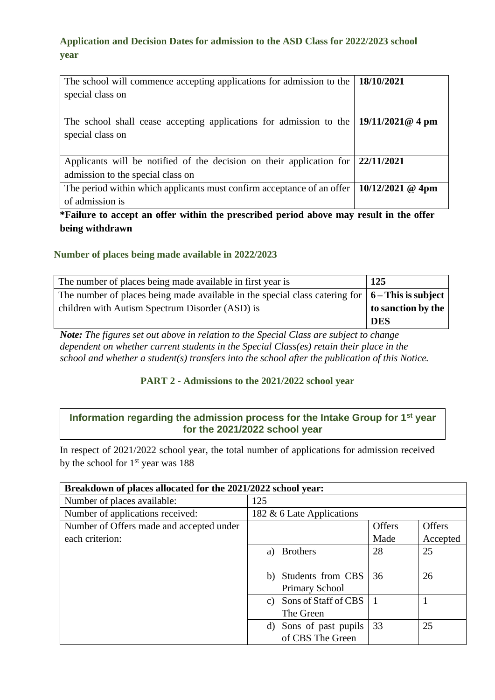## **Application and Decision Dates for admission to the ASD Class for 2022/2023 school year**

| The school will commence accepting applications for admission to the<br>special class on                  | 18/10/2021         |
|-----------------------------------------------------------------------------------------------------------|--------------------|
| The school shall cease accepting applications for admission to the<br>special class on                    | $19/11/2021@4$ pm  |
| Applicants will be notified of the decision on their application for<br>admission to the special class on | 22/11/2021         |
| The period within which applicants must confirm acceptance of an offer<br>of admission is                 | $10/12/2021$ @ 4pm |

**\*Failure to accept an offer within the prescribed period above may result in the offer being withdrawn**

#### **Number of places being made available in 2022/2023**

| The number of places being made available in first year is                                              | 125                |
|---------------------------------------------------------------------------------------------------------|--------------------|
| The number of places being made available in the special class catering for $\vert 6 -$ This is subject |                    |
| children with Autism Spectrum Disorder (ASD) is                                                         | to sanction by the |
|                                                                                                         | <b>DES</b>         |

*Note: The figures set out above in relation to the Special Class are subject to change dependent on whether current students in the Special Class(es) retain their place in the school and whether a student(s) transfers into the school after the publication of this Notice.*

#### **PART 2 - Admissions to the 2021/2022 school year**

## **Information regarding the admission process for the Intake Group for 1st year for the 2021/2022 school year**

In respect of 2021/2022 school year, the total number of applications for admission received by the school for  $1<sup>st</sup>$  year was 188

| Breakdown of places allocated for the 2021/2022 school year: |                           |               |               |  |
|--------------------------------------------------------------|---------------------------|---------------|---------------|--|
| Number of places available:                                  | 125                       |               |               |  |
| Number of applications received:                             | 182 & 6 Late Applications |               |               |  |
| Number of Offers made and accepted under                     |                           | <b>Offers</b> | <b>Offers</b> |  |
| each criterion:                                              |                           | Made          | Accepted      |  |
|                                                              | <b>Brothers</b><br>a)     | 28            | 25            |  |
|                                                              |                           |               |               |  |
|                                                              | b) Students from CBS      | 36            | 26            |  |
|                                                              | <b>Primary School</b>     |               |               |  |
|                                                              | c) Sons of Staff of CBS   |               |               |  |
|                                                              | The Green                 |               |               |  |
|                                                              | d) Sons of past pupils    | 33            | 25            |  |
|                                                              | of CBS The Green          |               |               |  |